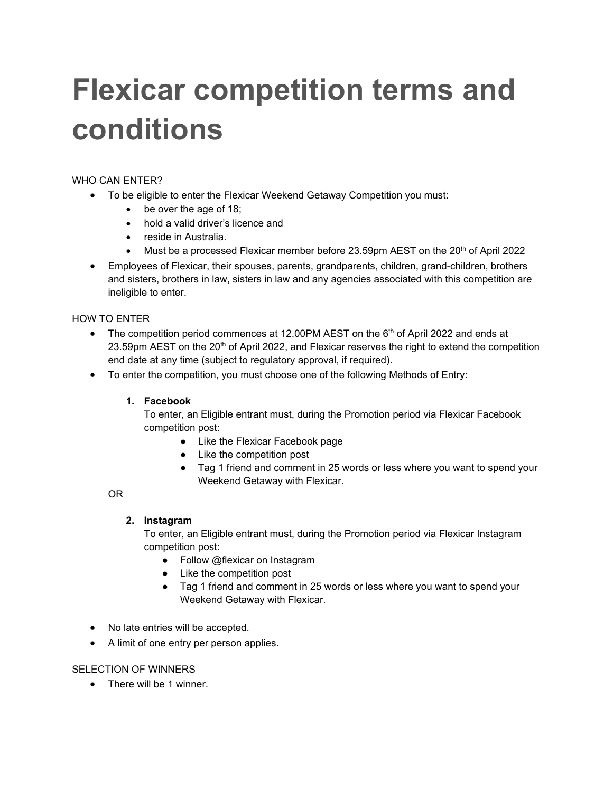# **Flexicar competition terms and conditions**

# WHO CAN ENTER?

- To be eligible to enter the Flexicar Weekend Getaway Competition you must:
	- be over the age of 18;
	- hold a valid driver's licence and
	- reside in Australia.
	- Must be a processed Flexicar member before  $23.59$ pm AEST on the  $20<sup>th</sup>$  of April 2022
- Employees of Flexicar, their spouses, parents, grandparents, children, grand-children, brothers and sisters, brothers in law, sisters in law and any agencies associated with this competition are ineligible to enter.

## HOW TO ENTER

- The competition period commences at 12.00PM AEST on the  $6<sup>th</sup>$  of April 2022 and ends at 23.59pm AEST on the 20<sup>th</sup> of April 2022, and Flexicar reserves the right to extend the competition end date at any time (subject to regulatory approval, if required).
- To enter the competition, you must choose one of the following Methods of Entry:

### **1. Facebook**

To enter, an Eligible entrant must, during the Promotion period via Flexicar Facebook competition post:

- Like the Flexicar Facebook page
- Like the competition post
- Tag 1 friend and comment in 25 words or less where you want to spend your Weekend Getaway with Flexicar.

### OR

### **2. Instagram**

To enter, an Eligible entrant must, during the Promotion period via Flexicar Instagram competition post:

- Follow @flexicar on Instagram
- Like the competition post
- Tag 1 friend and comment in 25 words or less where you want to spend your Weekend Getaway with Flexicar.
- No late entries will be accepted.
- A limit of one entry per person applies.

### SELECTION OF WINNERS

• There will be 1 winner.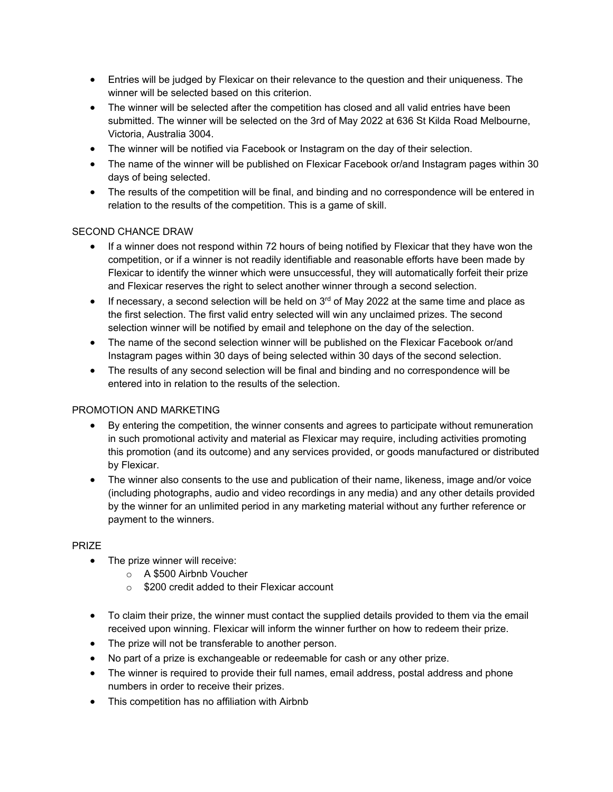- Entries will be judged by Flexicar on their relevance to the question and their uniqueness. The winner will be selected based on this criterion.
- The winner will be selected after the competition has closed and all valid entries have been submitted. The winner will be selected on the 3rd of May 2022 at 636 St Kilda Road Melbourne, Victoria, Australia 3004.
- The winner will be notified via Facebook or Instagram on the day of their selection.
- The name of the winner will be published on Flexicar Facebook or/and Instagram pages within 30 days of being selected.
- The results of the competition will be final, and binding and no correspondence will be entered in relation to the results of the competition. This is a game of skill.

### SECOND CHANCE DRAW

- If a winner does not respond within 72 hours of being notified by Flexicar that they have won the competition, or if a winner is not readily identifiable and reasonable efforts have been made by Flexicar to identify the winner which were unsuccessful, they will automatically forfeit their prize and Flexicar reserves the right to select another winner through a second selection.
- If necessary, a second selection will be held on  $3<sup>rd</sup>$  of May 2022 at the same time and place as the first selection. The first valid entry selected will win any unclaimed prizes. The second selection winner will be notified by email and telephone on the day of the selection.
- The name of the second selection winner will be published on the Flexicar Facebook or/and Instagram pages within 30 days of being selected within 30 days of the second selection.
- The results of any second selection will be final and binding and no correspondence will be entered into in relation to the results of the selection.

### PROMOTION AND MARKETING

- By entering the competition, the winner consents and agrees to participate without remuneration in such promotional activity and material as Flexicar may require, including activities promoting this promotion (and its outcome) and any services provided, or goods manufactured or distributed by Flexicar.
- The winner also consents to the use and publication of their name, likeness, image and/or voice (including photographs, audio and video recordings in any media) and any other details provided by the winner for an unlimited period in any marketing material without any further reference or payment to the winners.

#### PRIZE

- The prize winner will receive:
	- o A \$500 Airbnb Voucher
	- o \$200 credit added to their Flexicar account
- To claim their prize, the winner must contact the supplied details provided to them via the email received upon winning. Flexicar will inform the winner further on how to redeem their prize.
- The prize will not be transferable to another person.
- No part of a prize is exchangeable or redeemable for cash or any other prize.
- The winner is required to provide their full names, email address, postal address and phone numbers in order to receive their prizes.
- This competition has no affiliation with Airbnb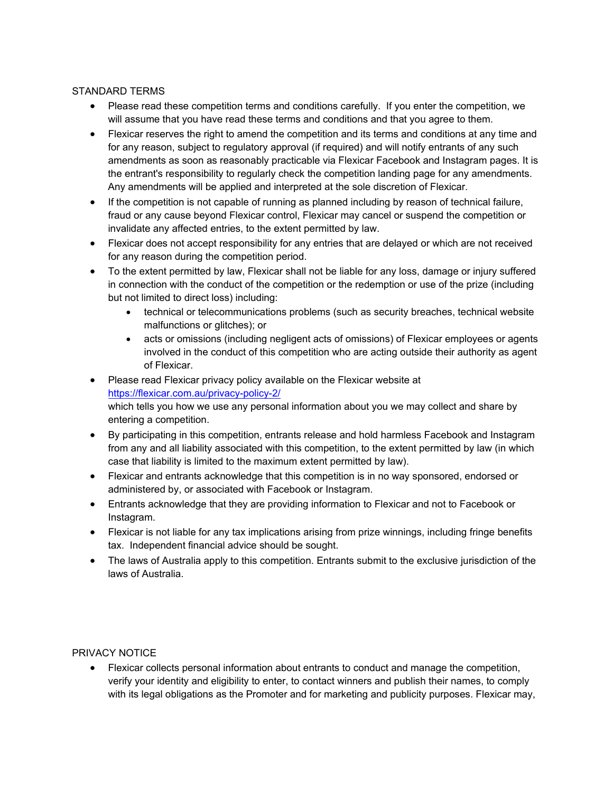### STANDARD TERMS

- Please read these competition terms and conditions carefully. If you enter the competition, we will assume that you have read these terms and conditions and that you agree to them.
- Flexicar reserves the right to amend the competition and its terms and conditions at any time and for any reason, subject to regulatory approval (if required) and will notify entrants of any such amendments as soon as reasonably practicable via Flexicar Facebook and Instagram pages. It is the entrant's responsibility to regularly check the competition landing page for any amendments. Any amendments will be applied and interpreted at the sole discretion of Flexicar.
- If the competition is not capable of running as planned including by reason of technical failure, fraud or any cause beyond Flexicar control, Flexicar may cancel or suspend the competition or invalidate any affected entries, to the extent permitted by law.
- Flexicar does not accept responsibility for any entries that are delayed or which are not received for any reason during the competition period.
- To the extent permitted by law, Flexicar shall not be liable for any loss, damage or injury suffered in connection with the conduct of the competition or the redemption or use of the prize (including but not limited to direct loss) including:
	- technical or telecommunications problems (such as security breaches, technical website malfunctions or glitches); or
	- acts or omissions (including negligent acts of omissions) of Flexicar employees or agents involved in the conduct of this competition who are acting outside their authority as agent of Flexicar.
- Please read Flexicar privacy policy available on the Flexicar website at <https://flexicar.com.au/privacy-policy-2/> which tells you how we use any personal information about you we may collect and share by entering a competition.
- By participating in this competition, entrants release and hold harmless Facebook and Instagram from any and all liability associated with this competition, to the extent permitted by law (in which case that liability is limited to the maximum extent permitted by law).
- Flexicar and entrants acknowledge that this competition is in no way sponsored, endorsed or administered by, or associated with Facebook or Instagram.
- Entrants acknowledge that they are providing information to Flexicar and not to Facebook or Instagram.
- Flexicar is not liable for any tax implications arising from prize winnings, including fringe benefits tax. Independent financial advice should be sought.
- The laws of Australia apply to this competition. Entrants submit to the exclusive jurisdiction of the laws of Australia.

### PRIVACY NOTICE

• Flexicar collects personal information about entrants to conduct and manage the competition, verify your identity and eligibility to enter, to contact winners and publish their names, to comply with its legal obligations as the Promoter and for marketing and publicity purposes. Flexicar may,